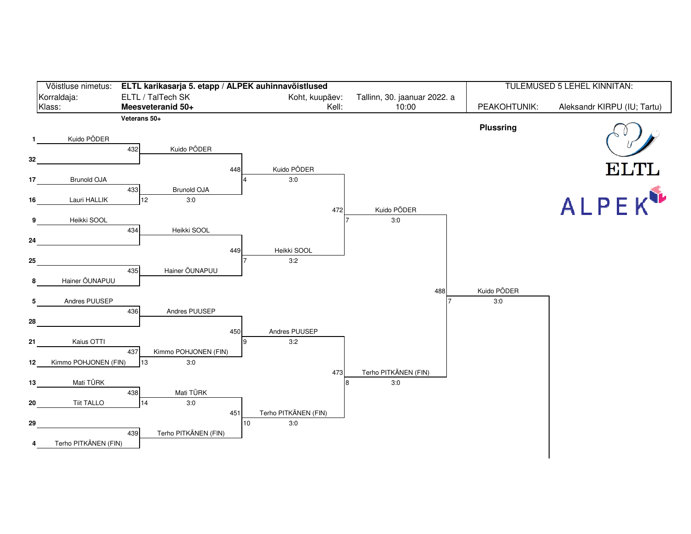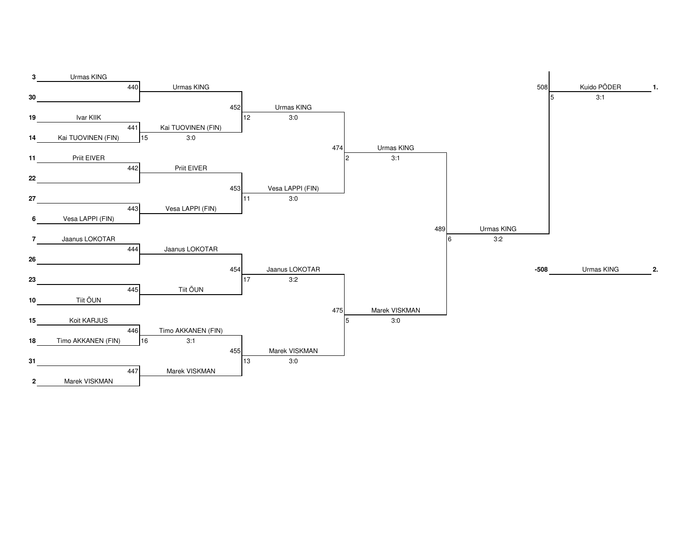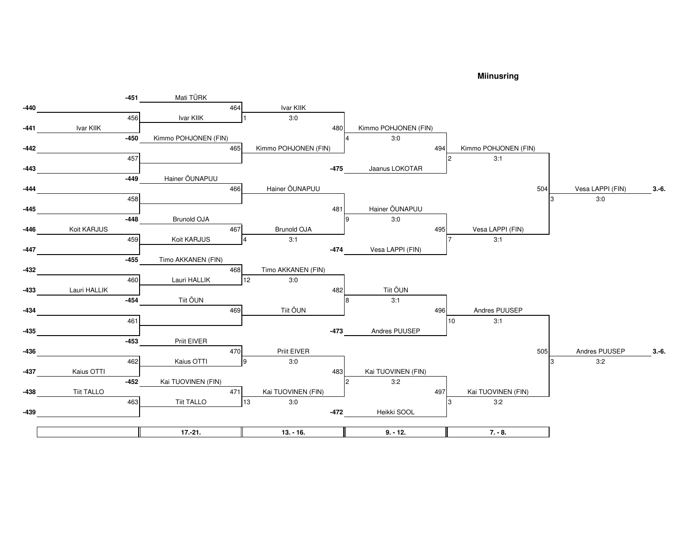## **Miinusring**

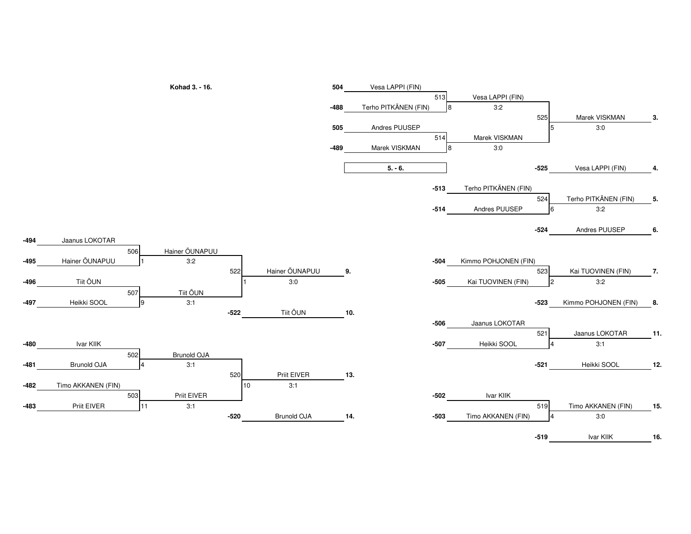